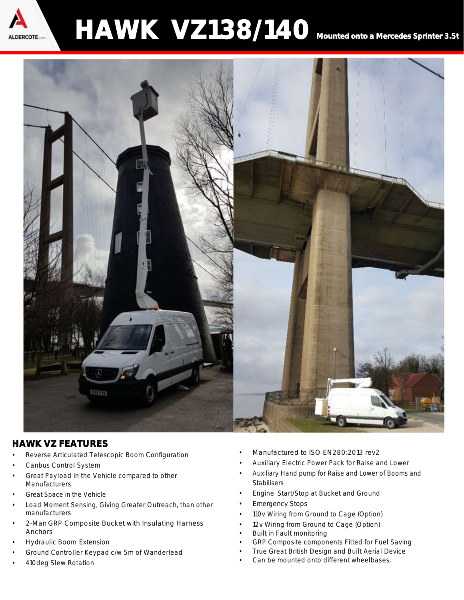

## HAWK VZ138/140 Mounted onto a Mercedes Sprinter 3.5t



## HAWK VZ FEATURES

- Reverse Articulated Telescopic Boom Configuration
- Canbus Control System
- Great Payload in the Vehicle compared to other **Manufacturers**
- Great Space in the Vehicle
- Load Moment Sensing, Giving Greater Outreach, than other manufacturers
- 2-Man GRP Composite Bucket with Insulating Harness Anchors
- Hydraulic Boom Extension
- Ground Controller Keypad c/w 5m of Wanderlead
- 410deg Slew Rotation
- Manufactured to ISO EN280:2013 rev2
- Auxiliary Electric Power Pack for Raise and Lower
- Auxiliary Hand pump for Raise and Lower of Booms and Stabilisers
- Engine Start/Stop at Bucket and Ground
- Emergency Stops
- 110v Wiring from Ground to Cage (Option)
- 12v Wiring from Ground to Cage (Option)
- Built in Fault monitoring
- GRP Composite components Fitted for Fuel Saving
- True Great British Design and Built Aerial Device
- Can be mounted onto different wheelbases.